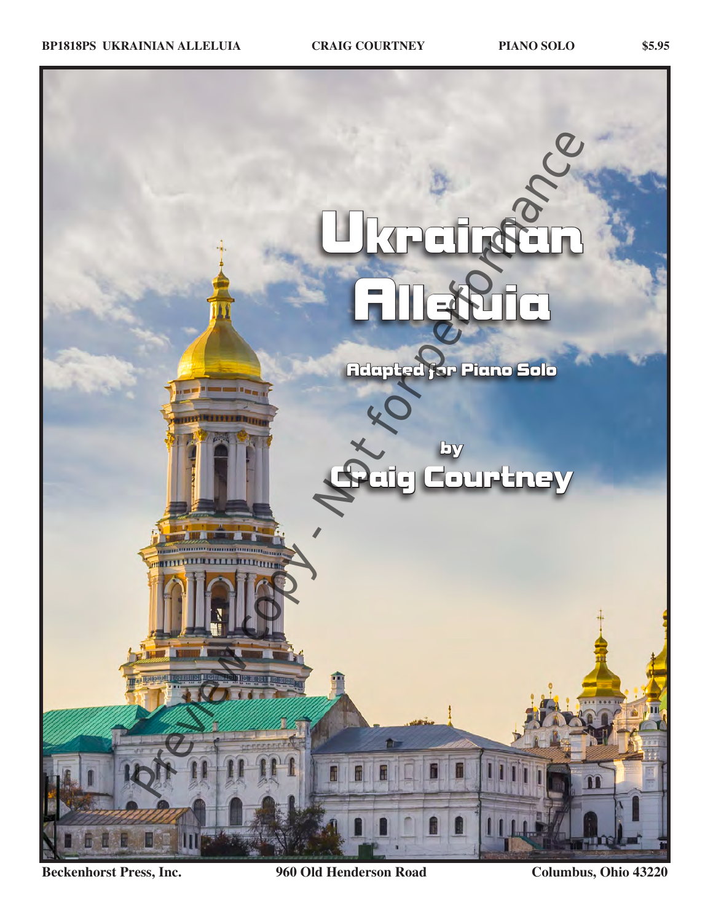

**Beckenhorst Press, Inc. 960 Old Henderson Road Columbus, Ohio 43220**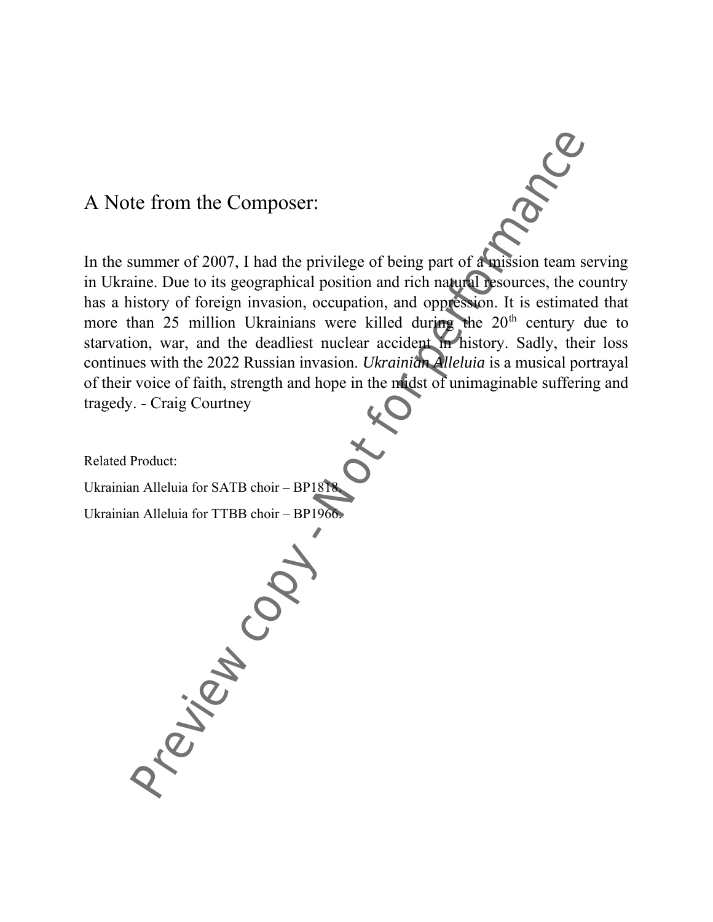## A Note from the Composer:

In the summer of 2007, I had the privilege of being part of a mission team serving in Ukraine. Due to its geographical position and rich natural resources, the country has a history of foreign invasion, occupation, and oppression. It is estimated that more than 25 million Ukrainians were killed during the 20<sup>th</sup> century due to starvation, war, and the deadliest nuclear accident in history. Sadly, their loss continues with the 2022 Russian invasion. *Ukrainian Alleluia* is a musical portrayal of their voice of faith, strength and hope in the midst of unimaginable suffering and tragedy. - Craig Courtney

Related Product:

Ukrainian Alleluia for SATB choir – BP1818.

Ukrainian Alleluia for TTBB choir – BP1966. Preview Copy -